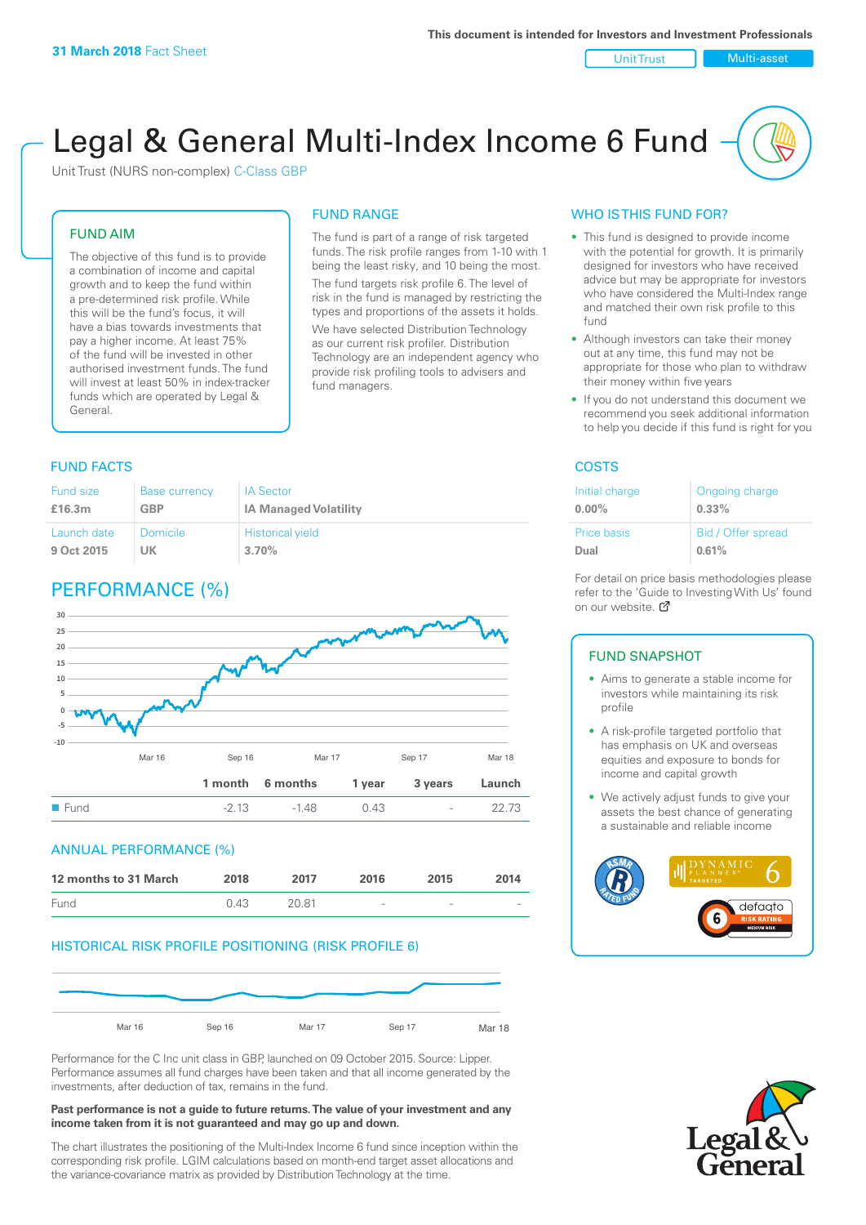Unit Trust Nulti-asset

# Legal & General Multi-Index Income 6 Fund

Unit Trust (NURS non-complex) C-Class GBP

#### FUND AIM

The objective of this fund is to provide a combination of income and capital growth and to keep the fund within a pre-determined risk profile. While this will be the fund's focus, it will have a bias towards investments that pay a higher income. At least 75% of the fund will be invested in other authorised investment funds. The fund will invest at least 50% in index-tracker funds which are operated by Legal & General.

#### FUND RANGE

The fund is part of a range of risk targeted funds. The risk profile ranges from 1-10 with 1 being the least risky, and 10 being the most. The fund targets risk profile 6. The level of risk in the fund is managed by restricting the

types and proportions of the assets it holds. We have selected Distribution Technology as our current risk profiler. Distribution Technology are an independent agency who provide risk profiling tools to advisers and fund managers.

#### **FUND FACTS** COSTS

| Fund size   | <b>Base currency</b> | <b>IA Sector</b>             |
|-------------|----------------------|------------------------------|
| £16.3m      | <b>GBP</b>           | <b>IA Managed Volatility</b> |
| Launch date | Domicile             | <b>Historical yield</b>      |
| 9 Oct 2015  | UK                   | 3.70%                        |

# PERFORMANCE (%)



#### ANNUAL PERFORMANCE (%)

| 12 months to 31 March | 2018 | 2017  | 2016                     | 2015   | 2014   |
|-----------------------|------|-------|--------------------------|--------|--------|
| Fund                  | 0.43 | 20.81 | $\overline{\phantom{a}}$ | $\sim$ | $\sim$ |

#### HISTORICAL RISK PROFILE POSITIONING (RISK PROFILE 6)



Performance for the C Inc unit class in GBP, launched on 09 October 2015. Source: Lipper. Performance assumes all fund charges have been taken and that all income generated by the investments, after deduction of tax, remains in the fund.

#### **Past performance is not a guide to future returns. The value of your investment and any income taken from it is not guaranteed and may go up and down.**

The chart illustrates the positioning of the Multi-Index Income 6 fund since inception within the corresponding risk profile. LGIM calculations based on month-end target asset allocations and the variance-covariance matrix as provided by Distribution Technology at the time.

#### WHO IS THIS FUND FOR?

- This fund is designed to provide income with the potential for growth. It is primarily designed for investors who have received advice but may be appropriate for investors who have considered the Multi-Index range and matched their own risk profile to this fund
- Although investors can take their money out at any time, this fund may not be appropriate for those who plan to withdraw their money within five years
- If you do not understand this document we recommend you seek additional information to help you decide if this fund is right for you

| Initial charge     | Ongoing charge     |
|--------------------|--------------------|
| $0.00\%$           | $0.33\%$           |
| <b>Price basis</b> | Bid / Offer spread |
| Dual               | 0.61%              |

For detail on price basis methodologies please refer to the 'Gu[ide t](http://www.legalandgeneral.com/guide)o Investing With Us' found on our website. Ø

#### FUND SNAPSHOT

- Aims to generate a stable income for investors while maintaining its risk profile
- A risk-profile targeted portfolio that has emphasis on UK and overseas equities and exposure to bonds for income and capital growth
- We actively adjust funds to give your assets the best chance of generating a sustainable and reliable income



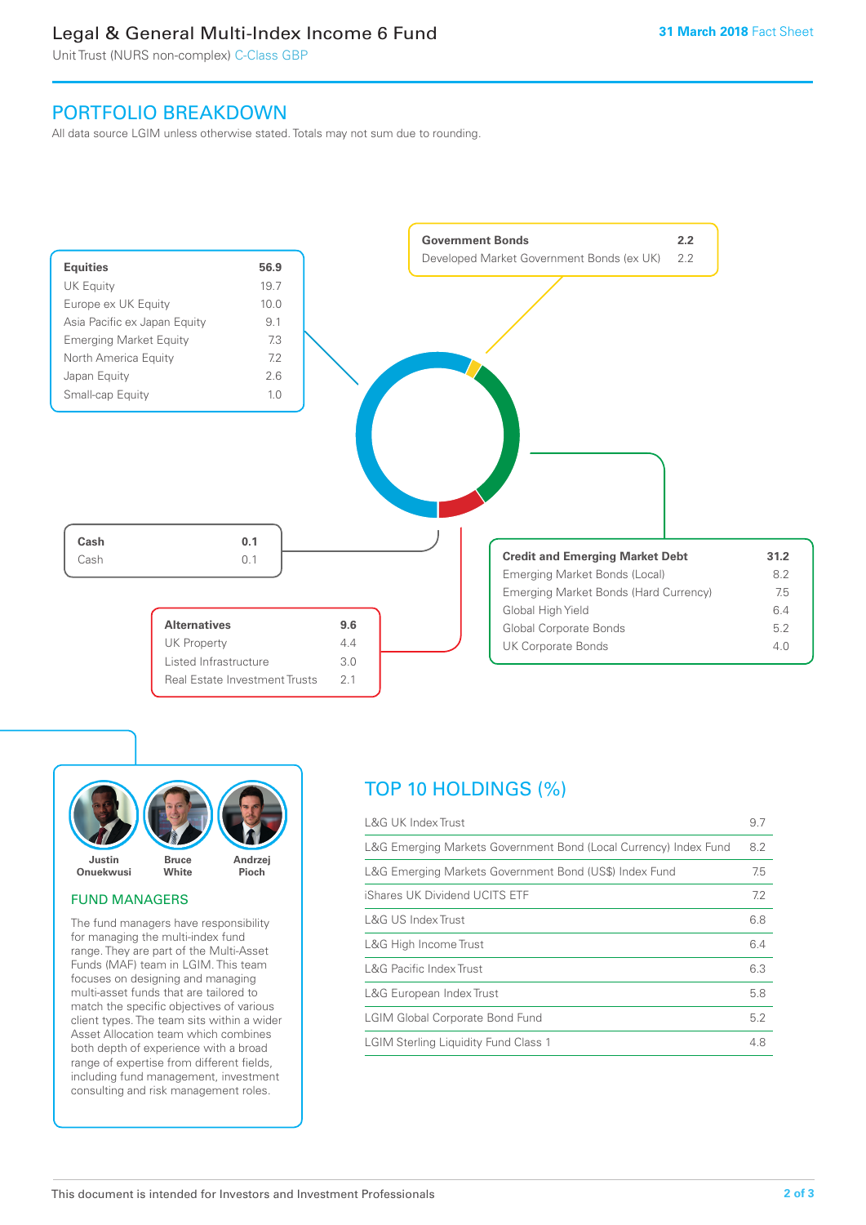# Legal & General Multi-Index Income 6 Fund

Unit Trust (NURS non-complex) C-Class GBP

## PORTFOLIO BREAKDOWN

All data source LGIM unless otherwise stated. Totals may not sum due to rounding.





#### FUND MANAGERS

The fund managers have responsibility for managing the multi-index fund range. They are part of the Multi-Asset Funds (MAF) team in LGIM. This team focuses on designing and managing multi-asset funds that are tailored to match the specific objectives of various client types. The team sits within a wider Asset Allocation team which combines both depth of experience with a broad range of expertise from different fields, including fund management, investment consulting and risk management roles.

# TOP 10 HOLDINGS (%)

| <b>L&amp;G UK Index Trust</b>                                    | 9.7 |
|------------------------------------------------------------------|-----|
| L&G Emerging Markets Government Bond (Local Currency) Index Fund | 8.2 |
| L&G Emerging Markets Government Bond (US\$) Index Fund           | 7.5 |
| iShares UK Dividend UCITS ETF                                    | 7.2 |
| L&G US Index Trust                                               | 6.8 |
| L&G High Income Trust                                            | 6.4 |
| <b>L&amp;G Pacific Index Trust</b>                               | 6.3 |
| L&G European Index Trust                                         | 5.8 |
| <b>LGIM Global Corporate Bond Fund</b>                           | 5.2 |
| <b>LGIM Sterling Liquidity Fund Class 1</b>                      | 4.8 |